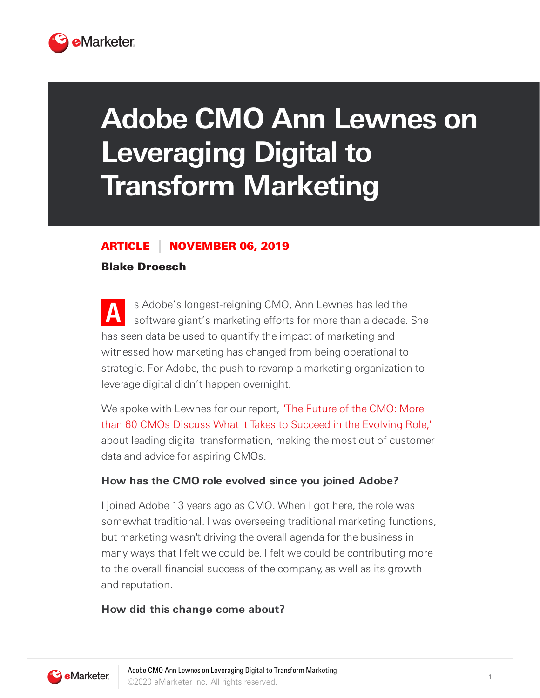

# **Adobe CMO Ann Lewnes on Leveraging Digital to Transform Marketing**

# ARTICLE NOVEMBER 06, 2019

# Blake Droesch

**A** s Adobe's longest-reigning CMO, Ann Lewnes has led the software giant's marketing efforts for more than a decade. She has seen data be used to quantify the impact of marketing and witnessed how marketing has changed from being operational to strategic. For Adobe, the push to revamp a marketing organization to leverage digital didn't happen overnight.

We spoke with Lewnes for our report, "The Future of the CMO: More than 60 CMOs Discuss What It Takes to Succeed in the Evolving Role," about leading digital transformation, making the most out of customer data and advice for aspiring CMOs.

# **How has the CMO role evolved since you joined Adobe?**

I joined Adobe 13 years ago as CMO. When I got here, the role was somewhat traditional. I was overseeing traditional marketing functions, but marketing wasn't driving the overall agenda for the business in many ways that I felt we could be. I felt we could be contributing more to the overall financial success of the company, as well as its growth and reputation.

# **How did this change come about?**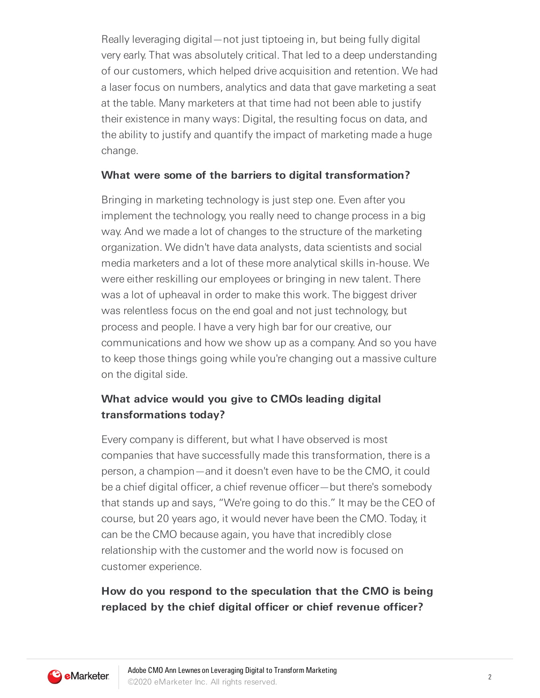Really leveraging digital—not just tiptoeing in, but being fully digital very early. That was absolutely critical. That led to a deep understanding of our customers, which helped drive acquisition and retention. We had a laser focus on numbers, analytics and data that gave marketing a seat at the table. Many marketers at that time had not been able to justify their existence in many ways: Digital, the resulting focus on data, and the ability to justify and quantify the impact of marketing made a huge change.

#### **What were some of the barriers to digital transformation?**

Bringing in marketing technology is just step one. Even after you implement the technology, you really need to change process in a big way. And we made a lot of changes to the structure of the marketing organization. We didn't have data analysts, data scientists and social media marketers and a lot of these more analytical skills in-house. We were either reskilling our employees or bringing in new talent. There was a lot of upheaval in order to make this work. The biggest driver was relentless focus on the end goal and not just technology, but process and people. I have a very high bar for our creative, our communications and how we show up as a company. And so you have to keep those things going while you're changing out a massive culture on the digital side.

# **What advice would you give to CMOs leading digital transformations today?**

Every company is different, but what I have observed is most companies that have successfully made this transformation, there is a person, a champion—and it doesn't even have to be the CMO, it could be a chief digital officer, a chief revenue officer—but there's somebody that stands up and says, "We're going to do this." It may be the CEO of course, but 20 years ago, it would never have been the CMO. Today, it can be the CMO because again, you have that incredibly close relationship with the customer and the world now is focused on customer experience.

# **How do you respond to the speculation that the CMO is being replaced by the chief digital officer or chief revenue officer?**